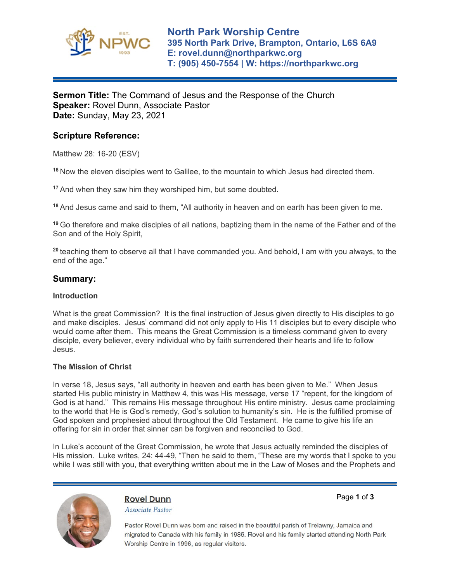

# **Sermon Title:** The Command of Jesus and the Response of the Church **Speaker:** Rovel Dunn, Associate Pastor **Date:** Sunday, May 23, 2021

# **Scripture Reference:**

Matthew 28: 16-20 (ESV)

**<sup>16</sup>** Now the eleven disciples went to Galilee, to the mountain to which Jesus had directed them.

**<sup>17</sup>** And when they saw him they worshiped him, but some doubted.

**<sup>18</sup>** And Jesus came and said to them, "All authority in heaven and on earth has been given to me.

**<sup>19</sup>** Go therefore and make disciples of all nations, baptizing them in the name of the Father and of the Son and of the Holy Spirit,

**<sup>20</sup>** teaching them to observe all that I have commanded you. And behold, I am with you always, to the end of the age."

## **Summary:**

#### **Introduction**

What is the great Commission? It is the final instruction of Jesus given directly to His disciples to go and make disciples. Jesus' command did not only apply to His 11 disciples but to every disciple who would come after them. This means the Great Commission is a timeless command given to every disciple, every believer, every individual who by faith surrendered their hearts and life to follow Jesus.

### **The Mission of Christ**

In verse 18, Jesus says, "all authority in heaven and earth has been given to Me." When Jesus started His public ministry in Matthew 4, this was His message, verse 17 "repent, for the kingdom of God is at hand." This remains His message throughout His entire ministry. Jesus came proclaiming to the world that He is God's remedy, God's solution to humanity's sin. He is the fulfilled promise of God spoken and prophesied about throughout the Old Testament. He came to give his life an offering for sin in order that sinner can be forgiven and reconciled to God.

In Luke's account of the Great Commission, he wrote that Jesus actually reminded the disciples of His mission. Luke writes, 24: 44-49, "Then he said to them, "These are my words that I spoke to you while I was still with you, that everything written about me in the Law of Moses and the Prophets and



**Rovel Dunn** Associate Pastor Page **1** of **3**

Pastor Rovel Dunn was born and raised in the beautiful parish of Trelawny, Jamaica and migrated to Canada with his family in 1986. Rovel and his family started attending North Park Worship Centre in 1996, as regular visitors.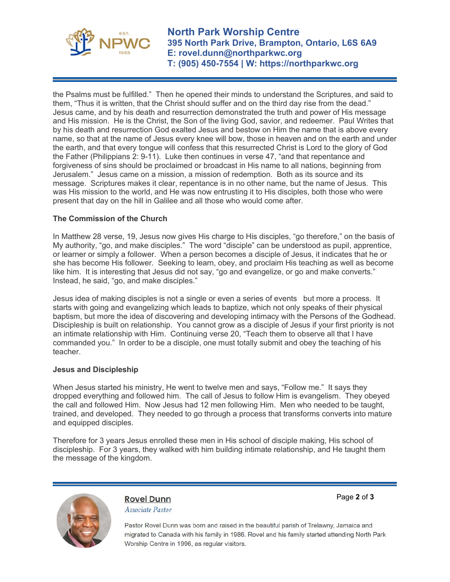

**North Park Worship Centre 395 North Park Drive, Brampton, Ontario, L6S 6A9 E: rovel.dunn@northparkwc.org T: (905) 450-7554 | W: https://northparkwc.org**

the Psalms must be fulfilled." Then he opened their minds to understand the Scriptures, and said to them, "Thus it is written, that the Christ should suffer and on the third day rise from the dead." Jesus came, and by his death and resurrection demonstrated the truth and power of His message and His mission. He is the Christ, the Son of the living God, savior, and redeemer. Paul Writes that by his death and resurrection God exalted Jesus and bestow on Him the name that is above every name, so that at the name of Jesus every knee will bow, those in heaven and on the earth and under the earth, and that every tongue will confess that this resurrected Christ is Lord to the glory of God the Father (Philippians 2: 9-11). Luke then continues in verse 47, "and that repentance and forgiveness of sins should be proclaimed or broadcast in His name to all nations, beginning from Jerusalem." Jesus came on a mission, a mission of redemption. Both as its source and its message. Scriptures makes it clear, repentance is in no other name, but the name of Jesus. This was His mission to the world, and He was now entrusting it to His disciples, both those who were present that day on the hill in Galilee and all those who would come after.

## **The Commission of the Church**

In Matthew 28 verse, 19, Jesus now gives His charge to His disciples, "go therefore," on the basis of My authority, "go, and make disciples." The word "disciple" can be understood as pupil, apprentice, or learner or simply a follower. When a person becomes a disciple of Jesus, it indicates that he or she has become His follower. Seeking to learn, obey, and proclaim His teaching as well as become like him. It is interesting that Jesus did not say, "go and evangelize, or go and make converts." Instead, he said, "go, and make disciples."

Jesus idea of making disciples is not a single or even a series of events but more a process. It starts with going and evangelizing which leads to baptize, which not only speaks of their physical baptism, but more the idea of discovering and developing intimacy with the Persons of the Godhead. Discipleship is built on relationship. You cannot grow as a disciple of Jesus if your first priority is not an intimate relationship with Him. Continuing verse 20, "Teach them to observe all that I have commanded you." In order to be a disciple, one must totally submit and obey the teaching of his teacher.

#### **Jesus and Discipleship**

When Jesus started his ministry, He went to twelve men and says, "Follow me." It says they dropped everything and followed him. The call of Jesus to follow Him is evangelism. They obeyed the call and followed Him. Now Jesus had 12 men following Him. Men who needed to be taught, trained, and developed. They needed to go through a process that transforms converts into mature and equipped disciples.

Therefore for 3 years Jesus enrolled these men in His school of disciple making, His school of discipleship. For 3 years, they walked with him building intimate relationship, and He taught them the message of the kingdom.



**Rovel Dunn** Associate Pastor Page **2** of **3**

Pastor Rovel Dunn was born and raised in the beautiful parish of Trelawny, Jamaica and migrated to Canada with his family in 1986. Rovel and his family started attending North Park Worship Centre in 1996, as regular visitors.